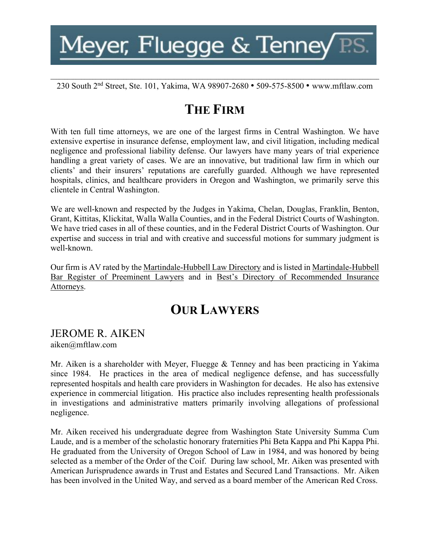**\_\_\_\_\_\_\_\_\_\_\_\_\_\_\_\_\_\_\_\_\_\_\_\_\_\_\_\_\_\_\_\_\_\_\_\_\_\_\_\_\_\_\_\_\_\_\_\_\_\_\_\_\_\_\_\_\_\_\_\_\_\_\_\_\_\_\_\_\_\_\_\_\_\_\_\_\_\_\_\_\_\_\_\_\_\_\_\_\_\_\_\_\_\_\_\_\_\_\_\_\_\_\_\_\_\_\_\_\_\_\_\_\_\_\_\_\_** 230 South 2nd Street, Ste. 101, Yakima, WA 98907-2680 • 509-575-8500 • www.mftlaw.com

## **THE FIRM**

With ten full time attorneys, we are one of the largest firms in Central Washington. We have extensive expertise in insurance defense, employment law, and civil litigation, including medical negligence and professional liability defense. Our lawyers have many years of trial experience handling a great variety of cases. We are an innovative, but traditional law firm in which our clients' and their insurers' reputations are carefully guarded. Although we have represented hospitals, clinics, and healthcare providers in Oregon and Washington, we primarily serve this clientele in Central Washington.

We are well-known and respected by the Judges in Yakima, Chelan, Douglas, Franklin, Benton, Grant, Kittitas, Klickitat, Walla Walla Counties, and in the Federal District Courts of Washington. We have tried cases in all of these counties, and in the Federal District Courts of Washington. Our expertise and success in trial and with creative and successful motions for summary judgment is well-known.

Our firm is AV rated by the Martindale-Hubbell Law Directory and is listed in Martindale-Hubbell Bar Register of Preeminent Lawyers and in Best's Directory of Recommended Insurance Attorneys.

## **OUR LAWYERS**

## JEROME R. AIKEN

aiken@mftlaw.com

Mr. Aiken is a shareholder with Meyer, Fluegge & Tenney and has been practicing in Yakima since 1984. He practices in the area of medical negligence defense, and has successfully represented hospitals and health care providers in Washington for decades. He also has extensive experience in commercial litigation. His practice also includes representing health professionals in investigations and administrative matters primarily involving allegations of professional negligence.

Mr. Aiken received his undergraduate degree from Washington State University Summa Cum Laude, and is a member of the scholastic honorary fraternities Phi Beta Kappa and Phi Kappa Phi. He graduated from the University of Oregon School of Law in 1984, and was honored by being selected as a member of the Order of the Coif. During law school, Mr. Aiken was presented with American Jurisprudence awards in Trust and Estates and Secured Land Transactions. Mr. Aiken has been involved in the United Way, and served as a board member of the American Red Cross.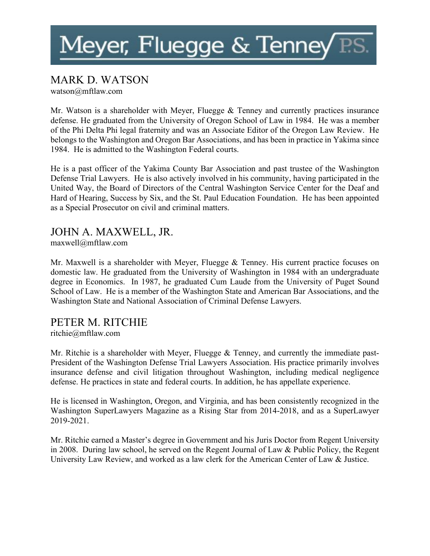### MARK D. WATSON

watson@mftlaw.com

Mr. Watson is a shareholder with Meyer, Fluegge & Tenney and currently practices insurance defense. He graduated from the University of Oregon School of Law in 1984. He was a member of the Phi Delta Phi legal fraternity and was an Associate Editor of the Oregon Law Review. He belongs to the Washington and Oregon Bar Associations, and has been in practice in Yakima since 1984. He is admitted to the Washington Federal courts.

He is a past officer of the Yakima County Bar Association and past trustee of the Washington Defense Trial Lawyers. He is also actively involved in his community, having participated in the United Way, the Board of Directors of the Central Washington Service Center for the Deaf and Hard of Hearing, Success by Six, and the St. Paul Education Foundation. He has been appointed as a Special Prosecutor on civil and criminal matters.

### JOHN A. MAXWELL, JR.

maxwell@mftlaw.com

Mr. Maxwell is a shareholder with Meyer, Fluegge & Tenney. His current practice focuses on domestic law. He graduated from the University of Washington in 1984 with an undergraduate degree in Economics. In 1987, he graduated Cum Laude from the University of Puget Sound School of Law. He is a member of the Washington State and American Bar Associations, and the Washington State and National Association of Criminal Defense Lawyers.

### PETER M. RITCHIE

ritchie@mftlaw.com

Mr. Ritchie is a shareholder with Meyer, Fluegge & Tenney, and currently the immediate past-President of the Washington Defense Trial Lawyers Association. His practice primarily involves insurance defense and civil litigation throughout Washington, including medical negligence defense. He practices in state and federal courts. In addition, he has appellate experience.

He is licensed in Washington, Oregon, and Virginia, and has been consistently recognized in the Washington SuperLawyers Magazine as a Rising Star from 2014-2018, and as a SuperLawyer 2019-2021.

Mr. Ritchie earned a Master's degree in Government and his Juris Doctor from Regent University in 2008. During law school, he served on the Regent Journal of Law & Public Policy, the Regent University Law Review, and worked as a law clerk for the American Center of Law & Justice.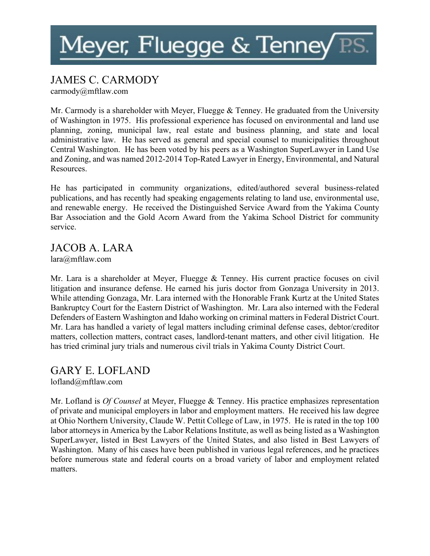# Meyer, Fluegge & Tenney  $\overline{P}$

### JAMES C. CARMODY

carmody@mftlaw.com

Mr. Carmody is a shareholder with Meyer, Fluegge & Tenney. He graduated from the University of Washington in 1975. His professional experience has focused on environmental and land use planning, zoning, municipal law, real estate and business planning, and state and local administrative law. He has served as general and special counsel to municipalities throughout Central Washington. He has been voted by his peers as a Washington SuperLawyer in Land Use and Zoning, and was named 2012-2014 Top-Rated Lawyer in Energy, Environmental, and Natural Resources.

He has participated in community organizations, edited/authored several business-related publications, and has recently had speaking engagements relating to land use, environmental use, and renewable energy. He received the Distinguished Service Award from the Yakima County Bar Association and the Gold Acorn Award from the Yakima School District for community service.

#### JACOB A. LARA lara@mftlaw.com

Mr. Lara is a shareholder at Meyer, Fluegge & Tenney. His current practice focuses on civil litigation and insurance defense. He earned his juris doctor from Gonzaga University in 2013. While attending Gonzaga, Mr. Lara interned with the Honorable Frank Kurtz at the United States Bankruptcy Court for the Eastern District of Washington. Mr. Lara also interned with the Federal Defenders of Eastern Washington and Idaho working on criminal matters in Federal District Court. Mr. Lara has handled a variety of legal matters including criminal defense cases, debtor/creditor matters, collection matters, contract cases, landlord-tenant matters, and other civil litigation. He has tried criminal jury trials and numerous civil trials in Yakima County District Court.

GARY E. LOFLAND lofland@mftlaw.com

Mr. Lofland is *Of Counsel* at Meyer, Fluegge & Tenney. His practice emphasizes representation of private and municipal employers in labor and employment matters. He received his law degree at Ohio Northern University, Claude W. Pettit College of Law, in 1975. He is rated in the top 100 labor attorneys in America by the Labor Relations Institute, as well as being listed as a Washington SuperLawyer, listed in Best Lawyers of the United States, and also listed in Best Lawyers of Washington. Many of his cases have been published in various legal references, and he practices before numerous state and federal courts on a broad variety of labor and employment related matters.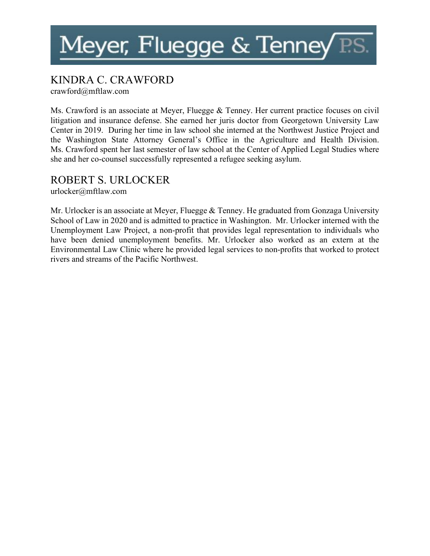### KINDRA C. CRAWFORD

crawford@mftlaw.com

Ms. Crawford is an associate at Meyer, Fluegge & Tenney. Her current practice focuses on civil litigation and insurance defense. She earned her juris doctor from Georgetown University Law Center in 2019. During her time in law school she interned at the Northwest Justice Project and the Washington State Attorney General's Office in the Agriculture and Health Division. Ms. Crawford spent her last semester of law school at the Center of Applied Legal Studies where she and her co-counsel successfully represented a refugee seeking asylum.

### ROBERT S. URLOCKER

urlocker@mftlaw.com

Mr. Urlocker is an associate at Meyer, Fluegge & Tenney. He graduated from Gonzaga University School of Law in 2020 and is admitted to practice in Washington. Mr. Urlocker interned with the Unemployment Law Project, a non-profit that provides legal representation to individuals who have been denied unemployment benefits. Mr. Urlocker also worked as an extern at the Environmental Law Clinic where he provided legal services to non-profits that worked to protect rivers and streams of the Pacific Northwest.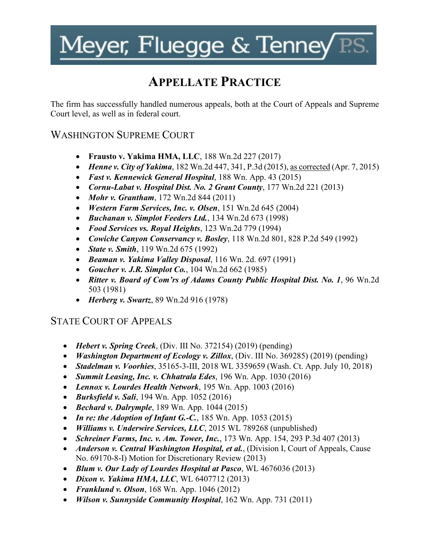## **APPELLATE PRACTICE**

The firm has successfully handled numerous appeals, both at the Court of Appeals and Supreme Court level, as well as in federal court.

### WASHINGTON SUPREME COURT

- **Frausto v. Yakima HMA, LLC**, 188 Wn.2d 227 (2017)
- *Henne v. City of Yakima*, 182 Wn.2d 447, 341, P.3d (2015), as corrected (Apr. 7, 2015)
- *Fast v. Kennewick General Hospital*, 188 Wn. App. 43 (2015)
- *Cornu-Labat v. Hospital Dist. No. 2 Grant County*, 177 Wn.2d 221 (2013)
- *Mohr v. Grantham*, 172 Wn.2d 844 (2011)
- *Western Farm Services, Inc. v. Olsen*, 151 Wn.2d 645 (2004)
- *Buchanan v. Simplot Feeders Ltd.*, 134 Wn.2d 673 (1998)
- *Food Services vs. Royal Heights*, 123 Wn.2d 779 (1994)
- *Cowiche Canyon Conservancy v. Bosley*, 118 Wn.2d 801, 828 P.2d 549 (1992)
- *State v. Smith*, 119 Wn.2d 675 (1992)
- *Beaman v. Yakima Valley Disposal*, 116 Wn. 2d. 697 (1991)
- *Goucher v. J.R. Simplot Co.*, 104 Wn.2d 662 (1985)
- *Ritter v. Board of Com'rs of Adams County Public Hospital Dist. No. 1*, 96 Wn.2d 503 (1981)
- *Herberg v. Swartz*, 89 Wn.2d 916 (1978)

### STATE COURT OF APPEALS

- *Hebert v. Spring Creek*, (Div. III No. 372154) (2019) (pending)
- *Washington Department of Ecology v. Zillox*, (Div. III No. 369285) (2019) (pending)
- *Stadelman v. Voorhies*, 35165-3-III, 2018 WL 3359659 (Wash. Ct. App. July 10, 2018)
- *Summit Leasing, Inc. v. Chhatrala Edes*, 196 Wn. App. 1030 (2016)
- *Lennox v. Lourdes Health Network*, 195 Wn. App. 1003 (2016)
- *Burksfield v. Sali*, 194 Wn. App. 1052 (2016)
- *Bechard v. Dalrymple*, 189 Wn. App. 1044 (2015)
- *In re: the Adoption of Infant G.-C.*, 185 Wn. App. 1053 (2015)
- *Williams v. Underwire Services, LLC*, 2015 WL 789268 (unpublished)
- *Schreiner Farms, Inc. v. Am. Tower, Inc.*, 173 Wn. App. 154, 293 P.3d 407 (2013)
- *Anderson v. Central Washington Hospital, et al.*, (Division I, Court of Appeals, Cause No. 69170-8-I) Motion for Discretionary Review (2013)
- *Blum v. Our Lady of Lourdes Hospital at Pasco*, WL 4676036 (2013)
- *Dixon v. Yakima HMA, LLC*, WL 6407712 (2013)
- *Franklund v. Olson*, 168 Wn. App. 1046 (2012)
- *Wilson v. Sunnyside Community Hospital*, 162 Wn. App. 731 (2011)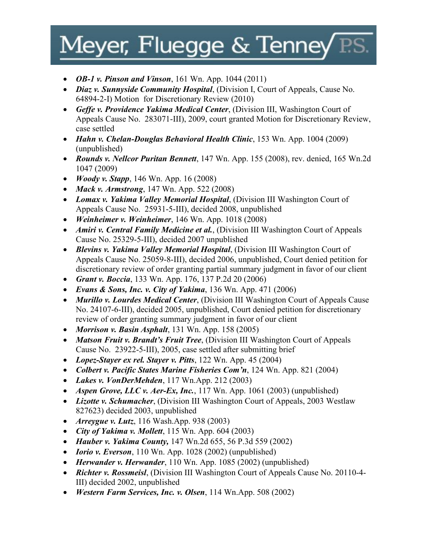- *OB-1 v. Pinson and Vinson*, 161 Wn. App. 1044 (2011)
- *Diaz v. Sunnyside Community Hospital*, (Division I, Court of Appeals, Cause No. 64894-2-I) Motion for Discretionary Review (2010)
- *Geffe v. Providence Yakima Medical Center*, (Division III, Washington Court of Appeals Cause No. 283071-III), 2009, court granted Motion for Discretionary Review, case settled
- *Hahn v. Chelan-Douglas Behavioral Health Clinic*, 153 Wn. App. 1004 (2009) (unpublished)
- *Rounds v. Nellcor Puritan Bennett*, 147 Wn. App. 155 (2008), rev. denied, 165 Wn.2d 1047 (2009)
- *Woody v. Stapp*, 146 Wn. App. 16 (2008)
- *Mack v. Armstrong*, 147 Wn. App. 522 (2008)
- *Lomax v. Yakima Valley Memorial Hospital*, (Division III Washington Court of Appeals Cause No. 25931-5-III), decided 2008, unpublished
- *Weinheimer v. Weinheimer*, 146 Wn. App. 1018 (2008)
- *Amiri v. Central Family Medicine et al.*, (Division III Washington Court of Appeals Cause No. 25329-5-III), decided 2007 unpublished
- *Blevins v. Yakima Valley Memorial Hospital*, (Division III Washington Court of Appeals Cause No. 25059-8-III), decided 2006, unpublished, Court denied petition for discretionary review of order granting partial summary judgment in favor of our client
- *Grant v. Boccia*, 133 Wn. App. 176, 137 P.2d 20 (2006)
- *Evans & Sons, Inc. v. City of Yakima*, 136 Wn. App. 471 (2006)
- *Murillo v. Lourdes Medical Center*, (Division III Washington Court of Appeals Cause No. 24107-6-III), decided 2005, unpublished, Court denied petition for discretionary review of order granting summary judgment in favor of our client
- *Morrison v. Basin Asphalt*, 131 Wn. App. 158 (2005)
- *Matson Fruit v. Brandt's Fruit Tree*, (Division III Washington Court of Appeals Cause No. 23922-5-III), 2005, case settled after submitting brief
- *Lopez-Stayer ex rel. Stayer v. Pitts*, 122 Wn. App. 45 (2004)
- *Colbert v. Pacific States Marine Fisheries Com'n*, 124 Wn. App. 821 (2004)
- *Lakes v. VonDerMehden*, 117 Wn.App. 212 (2003)
- *Aspen Grove, LLC v. Aer-Ex, Inc.*, 117 Wn. App. 1061 (2003) (unpublished)
- *Lizotte v. Schumacher*, (Division III Washington Court of Appeals, 2003 Westlaw 827623) decided 2003, unpublished
- *Arreygue v. Lutz*, 116 Wash.App. 938 (2003)
- *City of Yakima v. Mollett*, 115 Wn. App. 604 (2003)
- *Hauber v. Yakima County,* 147 Wn.2d 655, 56 P.3d 559 (2002)
- *Iorio v. Everson*, 110 Wn. App. 1028 (2002) (unpublished)
- *Herwander v. Herwander*, 110 Wn. App. 1085 (2002) (unpublished)
- *Richter v. Rossmeisl*, (Division III Washington Court of Appeals Cause No. 20110-4- III) decided 2002, unpublished
- *Western Farm Services, Inc. v. Olsen*, 114 Wn.App. 508 (2002)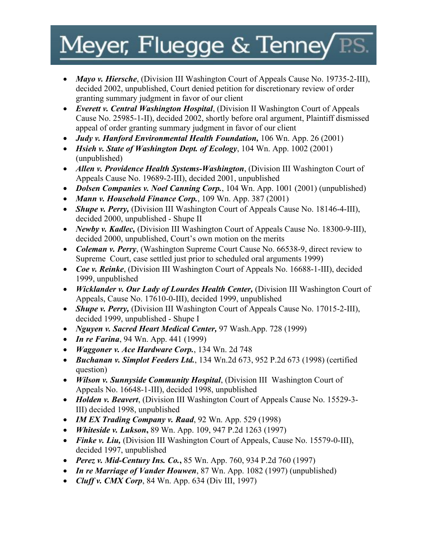- *Mayo v. Hiersche*, (Division III Washington Court of Appeals Cause No. 19735-2-III), decided 2002, unpublished, Court denied petition for discretionary review of order granting summary judgment in favor of our client
- *Everett v. Central Washington Hospital*, (Division II Washington Court of Appeals Cause No. 25985-1-II), decided 2002, shortly before oral argument, Plaintiff dismissed appeal of order granting summary judgment in favor of our client
- *Judy v. Hanford Environmental Health Foundation,* 106 Wn. App. 26 (2001)
- *Hsieh v. State of Washington Dept. of Ecology*, 104 Wn. App. 1002 (2001) (unpublished)
- *Allen v. Providence Health Systems-Washington*, (Division III Washington Court of Appeals Cause No. 19689-2-III), decided 2001, unpublished
- *Dolsen Companies v. Noel Canning Corp.*, 104 Wn. App. 1001 (2001) (unpublished)
- *Mann v. Household Finance Corp.*, 109 Wn. App. 387 (2001)
- *Shupe v. Perry, (Division III Washington Court of Appeals Cause No. 18146-4-III),* decided 2000, unpublished - Shupe II
- *Newby v. Kadlec,* (Division III Washington Court of Appeals Cause No. 18300-9-III), decided 2000, unpublished, Court's own motion on the merits
- *Coleman v. Perry*, (Washington Supreme Court Cause No. 66538-9, direct review to Supreme Court, case settled just prior to scheduled oral arguments 1999)
- *Coe v. Reinke*, (Division III Washington Court of Appeals No. 16688-1-III), decided 1999, unpublished
- *Wicklander v. Our Lady of Lourdes Health Center, (Division III Washington Court of* Appeals, Cause No. 17610-0-III), decided 1999, unpublished
- *Shupe v. Perry, (Division III Washington Court of Appeals Cause No. 17015-2-III),* decided 1999, unpublished - Shupe I
- *Nguyen v. Sacred Heart Medical Center,* 97 Wash.App. 728 (1999)
- *In re Farina*, 94 Wn. App. 441 (1999)
- *Waggoner v. Ace Hardware Corp.*, 134 Wn. 2d 748
- *Buchanan v. Simplot Feeders Ltd.*, 134 Wn.2d 673, 952 P.2d 673 (1998) (certified question)
- *Wilson v. Sunnyside Community Hospital*, (Division III Washington Court of Appeals No. 16648-1-III), decided 1998, unpublished
- *Holden v. Beavert*, (Division III Washington Court of Appeals Cause No. 15529-3- III) decided 1998, unpublished
- *IM EX Trading Company v. Raad*, 92 Wn. App. 529 (1998)
- *Whiteside v. Lukson***,** 89 Wn. App. 109, 947 P.2d 1263 (1997)
- *Finke v. Liu,* (Division III Washington Court of Appeals, Cause No. 15579-0-III), decided 1997, unpublished
- *Perez v. Mid-Century Ins. Co.***,** 85 Wn. App. 760, 934 P.2d 760 (1997)
- *In re Marriage of Vander Houwen*, 87 Wn. App. 1082 (1997) (unpublished)
- *Cluff v. CMX Corp*, 84 Wn. App. 634 (Div III, 1997)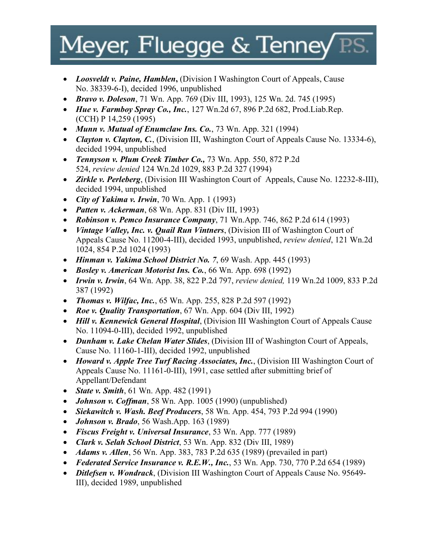- *Loosveldt v. Paine, Hamblen*, (Division I Washington Court of Appeals, Cause No. 38339-6-I), decided 1996, unpublished
- *Bravo v. Doleson*, 71 Wn. App. 769 (Div III, 1993), 125 Wn. 2d. 745 (1995)
- *Hue v. Farmboy Spray Co., Inc.*, 127 Wn.2d 67, 896 P.2d 682, Prod.Liab.Rep. (CCH) P 14,259 (1995)
- *Munn v. Mutual of Enumclaw Ins. Co.*, 73 Wn. App. 321 (1994)
- *Clayton v. Clayton, C.*, (Division III, Washington Court of Appeals Cause No. 13334-6), decided 1994, unpublished
- *Tennyson v. Plum Creek Timber Co.,* 73 Wn. App. 550, 872 P.2d 524, *review denied* 124 Wn.2d 1029, 883 P.2d 327 (1994)
- *Zirkle v. Perleberg*, (Division III Washington Court of Appeals, Cause No. 12232-8-III), decided 1994, unpublished
- *City of Yakima v. Irwin*, 70 Wn. App. 1 (1993)
- *Patten v. Ackerman*, 68 Wn. App. 831 (Div III, 1993)
- *Robinson v. Pemco Insurance Company*, 71 Wn.App. 746, 862 P.2d 614 (1993)
- *Vintage Valley, Inc. v. Quail Run Vintners*, (Division III of Washington Court of Appeals Cause No. 11200-4-III), decided 1993, unpublished, *review denied*, 121 Wn.2d 1024, 854 P.2d 1024 (1993)
- *Hinman v. Yakima School District No. 7*, 69 Wash. App. 445 (1993)
- *Bosley v. American Motorist Ins. Co.*, 66 Wn. App. 698 (1992)
- *Irwin v. Irwin*, 64 Wn. App. 38, 822 P.2d 797, *review denied,* 119 Wn.2d 1009, 833 P.2d 387 (1992)
- *Thomas v. Wilfac, Inc.*, 65 Wn. App. 255, 828 P.2d 597 (1992)
- *Roe v. Quality Transportation*, 67 Wn. App. 604 (Div III, 1992)
- *Hill v. Kennewick General Hospital*, (Division III Washington Court of Appeals Cause No. 11094-0-III), decided 1992, unpublished
- *Dunham v. Lake Chelan Water Slides*, (Division III of Washington Court of Appeals, Cause No. 11160-1-III), decided 1992, unpublished
- *Howard v. Apple Tree Turf Racing Associates, Inc.*, (Division III Washington Court of Appeals Cause No. 11161-0-III), 1991, case settled after submitting brief of Appellant/Defendant
- *State v. Smith*, 61 Wn. App. 482 (1991)
- *Johnson v. Coffman*, 58 Wn. App. 1005 (1990) (unpublished)
- *Siekawitch v. Wash. Beef Producers*, 58 Wn. App. 454, 793 P.2d 994 (1990)
- *Johnson v. Brado*, 56 Wash.App. 163 (1989)
- *Fiscus Freight v. Universal Insurance*, 53 Wn. App. 777 (1989)
- *Clark v. Selah School District*, 53 Wn. App. 832 (Div III, 1989)
- *Adams v. Allen*, 56 Wn. App. 383, 783 P.2d 635 (1989) (prevailed in part)
- *Federated Service Insurance v. R.E.W., Inc.*, 53 Wn. App. 730, 770 P.2d 654 (1989)
- *Ditlefsen v. Wondrack*, (Division III Washington Court of Appeals Cause No. 95649- III), decided 1989, unpublished